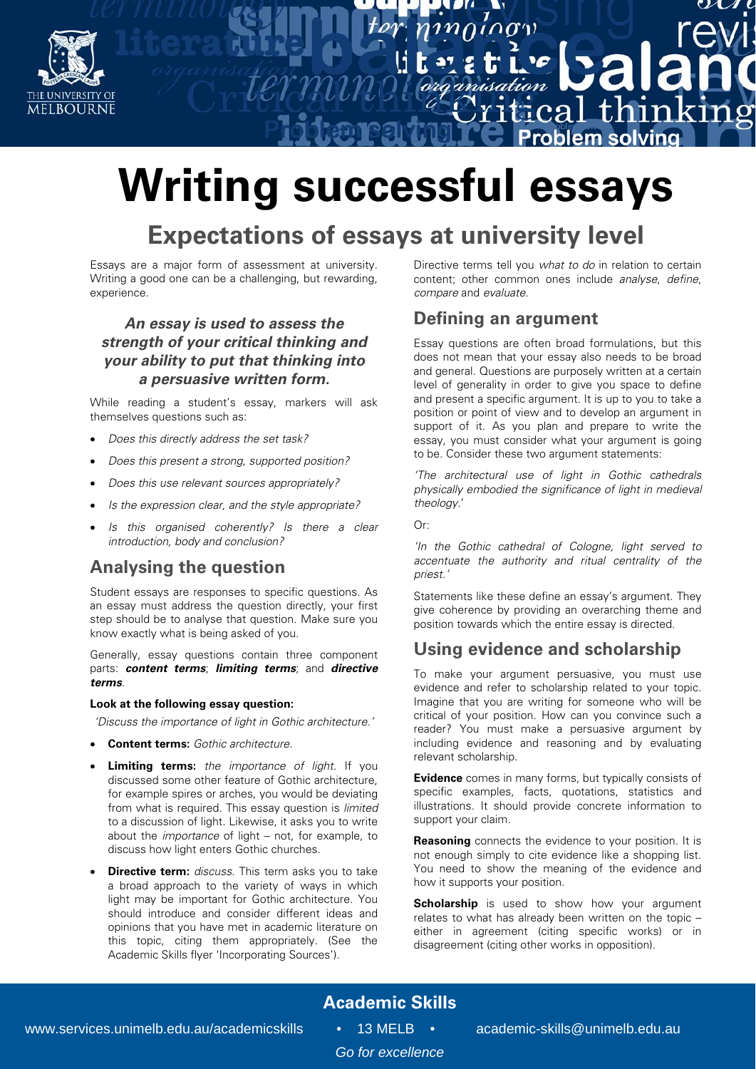

# **Writing successful essays**

## **Expectations of essays at university level**

Essays are a major form of assessment at university. Writing a good one can be a challenging, but rewarding, experience.

#### **An essay is used to assess the strength of your critical thinking and your ability to put that thinking into a persuasive written form.**

While reading a student's essay, markers will ask themselves questions such as:

- Does this directly address the set task?
- Does this present a strong, supported position?
- Does this use relevant sources appropriately?
- Is the expression clear, and the style appropriate?
- Is this organised coherently? Is there a clear introduction, body and conclusion?

## **Analysing the question**

Student essays are responses to specific questions. As an essay must address the question directly, your first step should be to analyse that question. Make sure you know exactly what is being asked of you.

Generally, essay questions contain three component parts: **content terms**; **limiting terms**; and **directive terms**.

#### **Look at the following essay question:**

'Discuss the importance of light in Gothic architecture.'

- **Content terms:** Gothic architecture.
- **Limiting terms:** the importance of light. If you discussed some other feature of Gothic architecture, for example spires or arches, you would be deviating from what is required. This essay question is limited to a discussion of light. Likewise, it asks you to write about the importance of light – not, for example, to discuss how light enters Gothic churches.
- **Directive term:** discuss. This term asks you to take a broad approach to the variety of ways in which light may be important for Gothic architecture. You should introduce and consider different ideas and opinions that you have met in academic literature on this topic, citing them appropriately. (See the Academic Skills flyer 'Incorporating Sources').

Directive terms tell you what to do in relation to certain content; other common ones include analyse, define, compare and evaluate.

 $709$ 

thin

oblem solving

ำท่

## **Defining an argument**

 $\overline{1}$  $\overline{0}$  $\overline{1}$  $\overline{1}$ 

Essay questions are often broad formulations, but this does not mean that your essay also needs to be broad and general. Questions are purposely written at a certain level of generality in order to give you space to define and present a specific argument. It is up to you to take a position or point of view and to develop an argument in support of it. As you plan and prepare to write the essay, you must consider what your argument is going to be. Consider these two argument statements:

'The architectural use of light in Gothic cathedrals physically embodied the significance of light in medieval theology.'

 $\bigcap_{r}$ 

'In the Gothic cathedral of Cologne, light served to accentuate the authority and ritual centrality of the priest.'

Statements like these define an essay's argument. They give coherence by providing an overarching theme and position towards which the entire essay is directed.

## **Using evidence and scholarship**

To make your argument persuasive, you must use evidence and refer to scholarship related to your topic. Imagine that you are writing for someone who will be critical of your position. How can you convince such a reader? You must make a persuasive argument by including evidence and reasoning and by evaluating relevant scholarship.

**Evidence** comes in many forms, but typically consists of specific examples, facts, quotations, statistics and illustrations. It should provide concrete information to support your claim.

**Reasoning** connects the evidence to your position. It is not enough simply to cite evidence like a shopping list. You need to show the meaning of the evidence and how it supports your position.

**Scholarship** is used to show how your argument relates to what has already been written on the topic – either in agreement (citing specific works) or in disagreement (citing other works in opposition).

## **Academic Skills**

*Go for excellence*